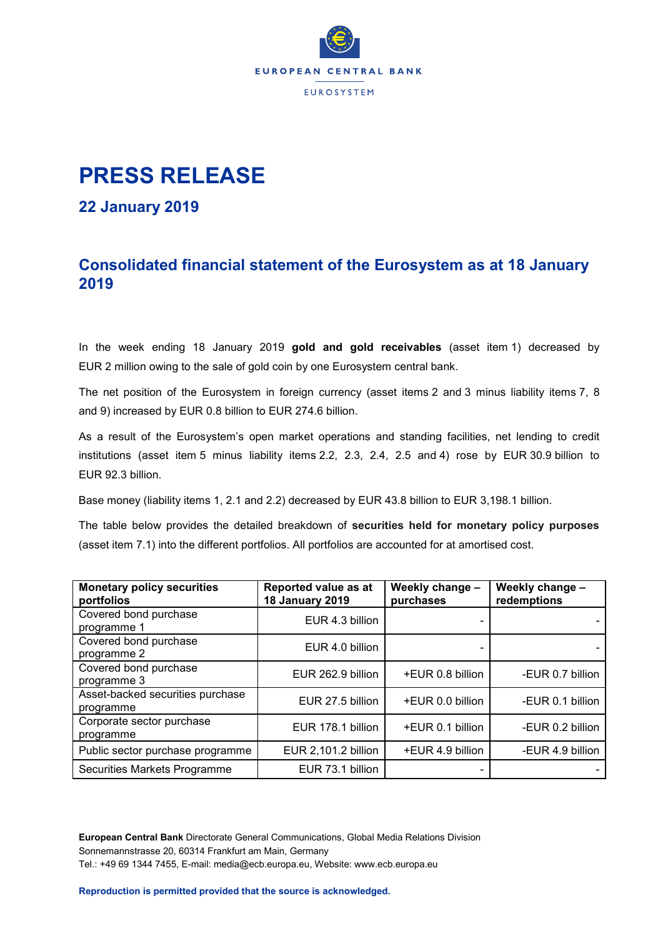

# **PRESS RELEASE**

### **22 January 2019**

## **Consolidated financial statement of the Eurosystem as at 18 January 2019**

In the week ending 18 January 2019 **gold and gold receivables** (asset item 1) decreased by EUR 2 million owing to the sale of gold coin by one Eurosystem central bank.

The net position of the Eurosystem in foreign currency (asset items 2 and 3 minus liability items 7, 8 and 9) increased by EUR 0.8 billion to EUR 274.6 billion.

As a result of the Eurosystem's open market operations and standing facilities, net lending to credit institutions (asset item 5 minus liability items 2.2, 2.3, 2.4, 2.5 and 4) rose by EUR 30.9 billion to EUR 92.3 billion.

Base money (liability items 1, 2.1 and 2.2) decreased by EUR 43.8 billion to EUR 3,198.1 billion.

The table below provides the detailed breakdown of **securities held for monetary policy purposes** (asset item 7.1) into the different portfolios. All portfolios are accounted for at amortised cost.

| <b>Monetary policy securities</b><br>portfolios | Reported value as at<br><b>18 January 2019</b> | Weekly change -<br>purchases | Weekly change -<br>redemptions |
|-------------------------------------------------|------------------------------------------------|------------------------------|--------------------------------|
| Covered bond purchase<br>programme 1            | EUR 4.3 billion                                |                              |                                |
| Covered bond purchase<br>programme 2            | EUR 4.0 billion                                |                              |                                |
| Covered bond purchase<br>programme 3            | EUR 262.9 billion                              | +EUR 0.8 billion             | -EUR 0.7 billion               |
| Asset-backed securities purchase<br>programme   | EUR 27.5 billion                               | +EUR 0.0 billion             | -EUR 0.1 billion               |
| Corporate sector purchase<br>programme          | EUR 178.1 billion                              | +EUR 0.1 billion             | -EUR 0.2 billion               |
| Public sector purchase programme                | EUR 2,101.2 billion                            | +EUR 4.9 billion             | -EUR 4.9 billion               |
| <b>Securities Markets Programme</b>             | EUR 73.1 billion                               |                              |                                |

**European Central Bank** Directorate General Communications, Global Media Relations Division Sonnemannstrasse 20, 60314 Frankfurt am Main, Germany Tel.: +49 69 1344 7455, E-mail: media@ecb.europa.eu, Website: www.ecb.europa.eu

**Reproduction is permitted provided that the source is acknowledged.**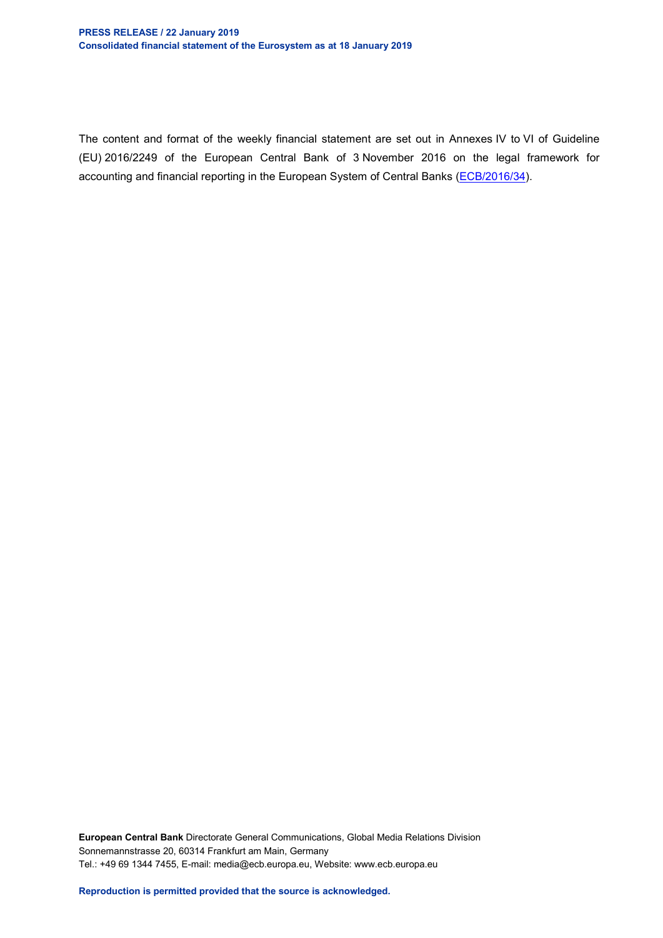#### **PRESS RELEASE / 22 January 2019 Consolidated financial statement of the Eurosystem as at 18 January 2019**

The content and format of the weekly financial statement are set out in Annexes IV to VI of Guideline (EU) 2016/2249 of the European Central Bank of 3 November 2016 on the legal framework for accounting and financial reporting in the European System of Central Banks [\(ECB/2016/34\)](http://www.ecb.europa.eu/ecb/legal/1001/1012/html/index.en.html).

**European Central Bank** Directorate General Communications, Global Media Relations Division Sonnemannstrasse 20, 60314 Frankfurt am Main, Germany Tel.: +49 69 1344 7455, E-mail: media@ecb.europa.eu, Website: www.ecb.europa.eu